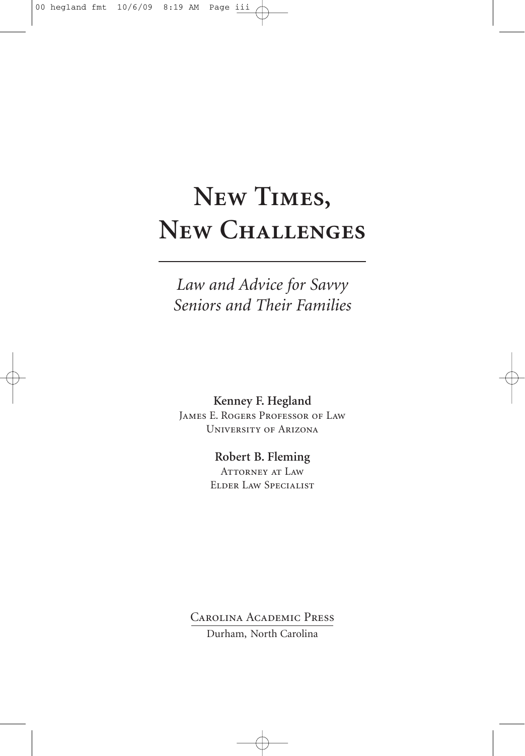# **New Times, New Challenges**

*Law and Advice for Savvy Seniors and Their Families*

**Kenney F. Hegland** James E. Rogers Professor of Law University of Arizona

> **Robert B. Fleming** ATTORNEY AT LAW Elder Law Specialist

Carolina Academic Press

Durham, North Carolina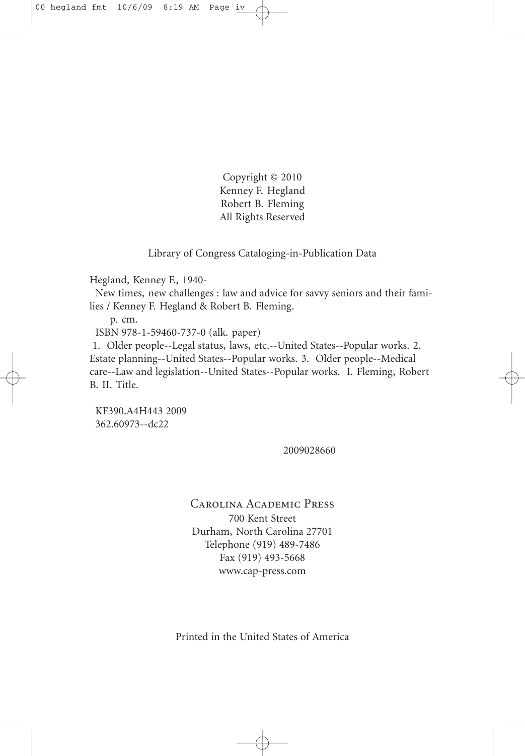Copyright © 2010 Kenney F. Hegland Robert B. Fleming All Rights Reserved

Library of Congress Cataloging-in-Publication Data

Hegland, Kenney F., 1940-

New times, new challenges : law and advice for savvy seniors and their families / Kenney F. Hegland & Robert B. Fleming.

p. cm.

ISBN 978-1-59460-737-0 (alk. paper)

1. Older people--Legal status, laws, etc.--United States--Popular works. 2. Estate planning--United States--Popular works. 3. Older people--Medical care--Law and legislation--United States--Popular works. I. Fleming, Robert B. II. Title.

KF390.A4H443 2009 362.60973--dc22

2009028660

Carolina Academic Press 700 Kent Street Durham, North Carolina 27701 Telephone (919) 489-7486 Fax (919) 493-5668 www.cap-press.com

Printed in the United States of America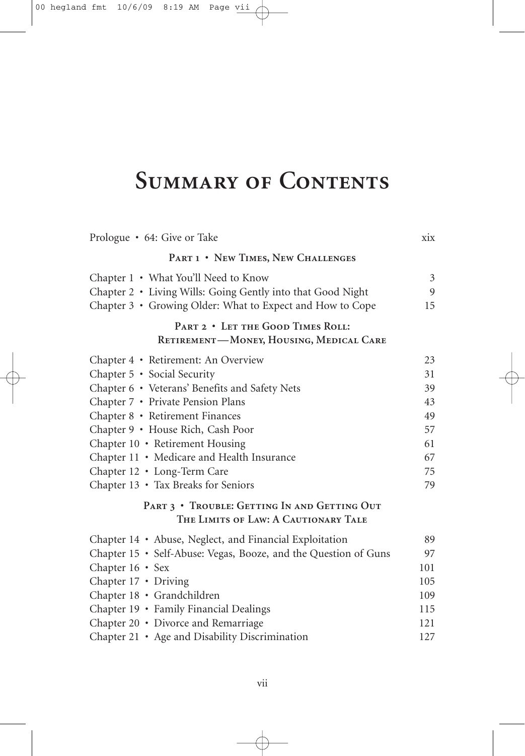# **Summary of Contents**

in 1999.

| Prologue • 64: Give or Take                                                                         | xix    |
|-----------------------------------------------------------------------------------------------------|--------|
| PART 1 . NEW TIMES, NEW CHALLENGES                                                                  |        |
| Chapter 1 • What You'll Need to Know<br>Chapter 2 • Living Wills: Going Gently into that Good Night | 3<br>9 |
| Chapter 3 • Growing Older: What to Expect and How to Cope                                           | 15     |
| PART 2 . LET THE GOOD TIMES ROLL:<br>RETIREMENT-MONEY, HOUSING, MEDICAL CARE                        |        |
| Chapter 4 • Retirement: An Overview                                                                 | 23     |
| Chapter 5 • Social Security                                                                         | 31     |
| Chapter 6 • Veterans' Benefits and Safety Nets                                                      | 39     |
| Chapter 7 • Private Pension Plans                                                                   | 43     |
| Chapter 8 • Retirement Finances                                                                     | 49     |
| Chapter 9 . House Rich, Cash Poor                                                                   | 57     |
| Chapter 10 • Retirement Housing                                                                     | 61     |
| Chapter 11 • Medicare and Health Insurance                                                          | 67     |
| Chapter 12 · Long-Term Care                                                                         | 75     |
| Chapter 13 • Tax Breaks for Seniors                                                                 | 79     |
| PART 3 . TROUBLE: GETTING IN AND GETTING OUT<br>THE LIMITS OF LAW: A CAUTIONARY TALE                |        |
| Chapter 14 • Abuse, Neglect, and Financial Exploitation                                             | 89     |
| Chapter 15 • Self-Abuse: Vegas, Booze, and the Question of Guns                                     | 97     |
| Chapter 16 • Sex                                                                                    | 101    |
| Chapter 17 • Driving                                                                                | 105    |
| Chapter 18 · Grandchildren                                                                          | 109    |
| Chapter 19 • Family Financial Dealings                                                              | 115    |
| Chapter 20 • Divorce and Remarriage                                                                 | 121    |
| Chapter 21 • Age and Disability Discrimination                                                      | 127    |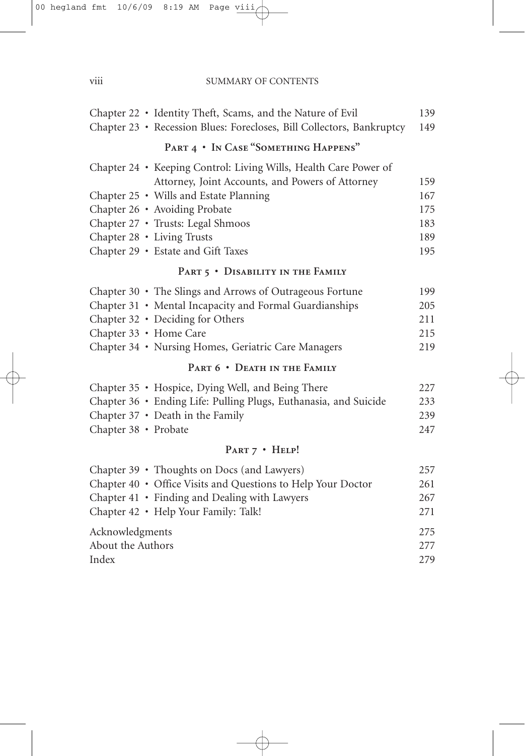### viii SUMMARY OF CONTENTS

|                      | Chapter 22 • Identity Theft, Scams, and the Nature of Evil            | 139 |
|----------------------|-----------------------------------------------------------------------|-----|
|                      | Chapter 23 · Recession Blues: Forecloses, Bill Collectors, Bankruptcy | 149 |
|                      | PART 4 . IN CASE "SOMETHING HAPPENS"                                  |     |
|                      | Chapter 24 • Keeping Control: Living Wills, Health Care Power of      |     |
|                      | Attorney, Joint Accounts, and Powers of Attorney                      | 159 |
|                      | Chapter 25 • Wills and Estate Planning                                | 167 |
|                      | Chapter 26 · Avoiding Probate                                         | 175 |
|                      | Chapter 27 • Trusts: Legal Shmoos                                     | 183 |
|                      | Chapter 28 • Living Trusts                                            | 189 |
|                      | Chapter 29 · Estate and Gift Taxes                                    | 195 |
|                      | PART 5 . DISABILITY IN THE FAMILY                                     |     |
|                      | Chapter $30 \cdot$ The Slings and Arrows of Outrageous Fortune        | 199 |
|                      | Chapter 31 • Mental Incapacity and Formal Guardianships               | 205 |
|                      | Chapter $32 \cdot$ Deciding for Others                                | 211 |
|                      | Chapter 33 · Home Care                                                | 215 |
|                      | Chapter 34 • Nursing Homes, Geriatric Care Managers                   | 219 |
|                      | PART 6 . DEATH IN THE FAMILY                                          |     |
|                      | Chapter 35 · Hospice, Dying Well, and Being There                     | 227 |
|                      | Chapter 36 · Ending Life: Pulling Plugs, Euthanasia, and Suicide      | 233 |
|                      | Chapter $37 \cdot$ Death in the Family                                | 239 |
| Chapter 38 · Probate |                                                                       | 247 |
|                      | PART 7 . HELP!                                                        |     |
|                      | Chapter 39 • Thoughts on Docs (and Lawyers)                           | 257 |
|                      | Chapter 40 • Office Visits and Questions to Help Your Doctor          | 261 |
|                      | Chapter 41 • Finding and Dealing with Lawyers                         | 267 |
|                      | Chapter 42 · Help Your Family: Talk!                                  | 271 |
| Acknowledgments      |                                                                       | 275 |
| About the Authors    |                                                                       | 277 |
| Index                |                                                                       | 279 |
|                      |                                                                       |     |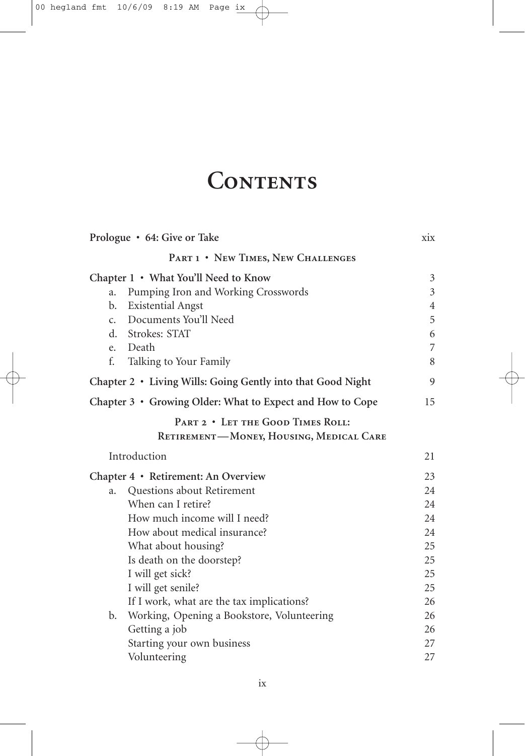## CONTENTS

and the

| Prologue • 64: Give or Take                                                                                                                                                                                                                                                                              | xix                                                       |
|----------------------------------------------------------------------------------------------------------------------------------------------------------------------------------------------------------------------------------------------------------------------------------------------------------|-----------------------------------------------------------|
| PART 1 . NEW TIMES, NEW CHALLENGES                                                                                                                                                                                                                                                                       |                                                           |
| Chapter 1 • What You'll Need to Know<br>Pumping Iron and Working Crosswords<br>a.<br><b>Existential Angst</b><br>$\mathbf{b}$ .<br>Documents You'll Need<br>$\mathsf{C}$ .<br>d. Strokes: STAT<br>Death<br>e.<br>f.<br>Talking to Your Family                                                            | 3<br>3<br>$\overline{4}$<br>5<br>6<br>$\overline{7}$<br>8 |
| Chapter 2 • Living Wills: Going Gently into that Good Night                                                                                                                                                                                                                                              | 9                                                         |
| Chapter 3 • Growing Older: What to Expect and How to Cope                                                                                                                                                                                                                                                | 15                                                        |
| PART 2 . LET THE GOOD TIMES ROLL:<br>RETIREMENT-MONEY, HOUSING, MEDICAL CARE                                                                                                                                                                                                                             |                                                           |
| Introduction                                                                                                                                                                                                                                                                                             | 21                                                        |
| Chapter 4 • Retirement: An Overview<br>Questions about Retirement<br>a.<br>When can I retire?<br>How much income will I need?<br>How about medical insurance?<br>What about housing?<br>Is death on the doorstep?<br>I will get sick?<br>I will get senile?<br>If I work, what are the tax implications? | 23<br>24<br>24<br>24<br>24<br>25<br>25<br>25<br>25<br>26  |
| $\mathbf{b}$ .<br>Working, Opening a Bookstore, Volunteering<br>Getting a job<br>Starting your own business<br>Volunteering                                                                                                                                                                              | 26<br>26<br>27<br>27                                      |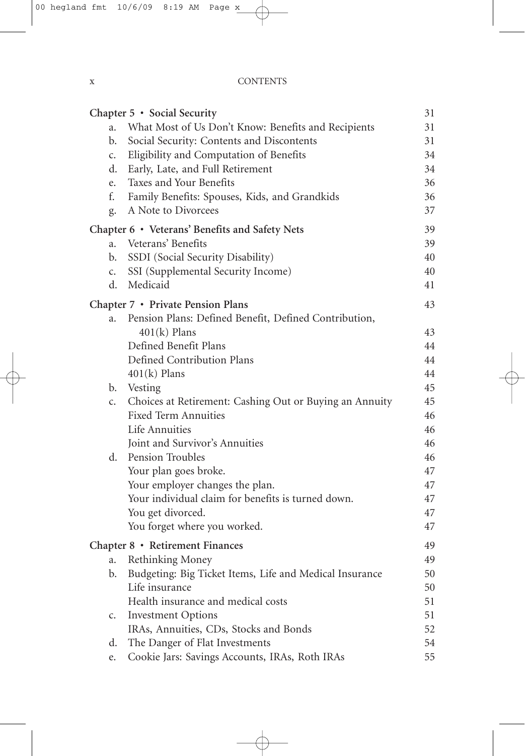### x CONTENTS

|               | Chapter 5 • Social Security                             | 31 |
|---------------|---------------------------------------------------------|----|
| a.            | What Most of Us Don't Know: Benefits and Recipients     | 31 |
| b.            | Social Security: Contents and Discontents               | 31 |
| $C_{\bullet}$ | Eligibility and Computation of Benefits                 | 34 |
| d.            | Early, Late, and Full Retirement                        | 34 |
| e.            | Taxes and Your Benefits                                 | 36 |
| f.            | Family Benefits: Spouses, Kids, and Grandkids           | 36 |
| g.            | A Note to Divorcees                                     | 37 |
|               | Chapter 6 · Veterans' Benefits and Safety Nets          | 39 |
| a.            | Veterans' Benefits                                      | 39 |
| b.            | SSDI (Social Security Disability)                       | 40 |
| c.            | SSI (Supplemental Security Income)                      | 40 |
| d.            | Medicaid                                                | 41 |
|               | Chapter 7 • Private Pension Plans                       | 43 |
| a.            | Pension Plans: Defined Benefit, Defined Contribution,   |    |
|               | $401(k)$ Plans                                          | 43 |
|               | Defined Benefit Plans                                   | 44 |
|               | Defined Contribution Plans                              | 44 |
|               | $401(k)$ Plans                                          | 44 |
| b.            | Vesting                                                 | 45 |
| c.            | Choices at Retirement: Cashing Out or Buying an Annuity | 45 |
|               | <b>Fixed Term Annuities</b>                             | 46 |
|               | Life Annuities                                          | 46 |
|               | Joint and Survivor's Annuities                          | 46 |
| d.            | Pension Troubles                                        | 46 |
|               | Your plan goes broke.                                   | 47 |
|               | Your employer changes the plan.                         | 47 |
|               | Your individual claim for benefits is turned down.      | 47 |
|               | You get divorced.                                       | 47 |
|               | You forget where you worked.                            | 47 |
|               | Chapter 8 • Retirement Finances                         | 49 |
| a.            | Rethinking Money                                        | 49 |
| b.            | Budgeting: Big Ticket Items, Life and Medical Insurance | 50 |
|               | Life insurance                                          | 50 |
|               | Health insurance and medical costs                      | 51 |
| c.            | <b>Investment Options</b>                               | 51 |
|               | IRAs, Annuities, CDs, Stocks and Bonds                  | 52 |
| d.            | The Danger of Flat Investments                          | 54 |
| e.            | Cookie Jars: Savings Accounts, IRAs, Roth IRAs          | 55 |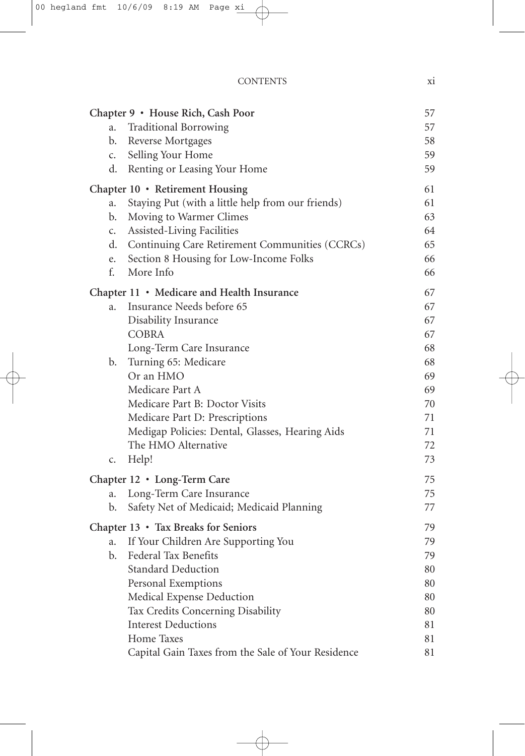| <b>CONTENTS</b> |  |
|-----------------|--|
|                 |  |

17

|             | Chapter 9 . House Rich, Cash Poor                  | 57  |
|-------------|----------------------------------------------------|-----|
| a.          | <b>Traditional Borrowing</b>                       | 57  |
|             | b. Reverse Mortgages                               | 58  |
|             | c. Selling Your Home                               | 59  |
|             | d. Renting or Leasing Your Home                    | 59  |
|             | Chapter 10 · Retirement Housing                    | 61  |
| a.          | Staying Put (with a little help from our friends)  | 61  |
| b.          | Moving to Warmer Climes                            | 63  |
|             | c. Assisted-Living Facilities                      | 64  |
|             | d. Continuing Care Retirement Communities (CCRCs)  | 65  |
|             | e. Section 8 Housing for Low-Income Folks          | 66  |
| f.          | More Info                                          | 66  |
|             | Chapter 11 • Medicare and Health Insurance         | 67  |
| a.          | Insurance Needs before 65                          | 67  |
|             | Disability Insurance                               | 67  |
|             | <b>COBRA</b>                                       | 67  |
|             | Long-Term Care Insurance                           | 68  |
| b.          | Turning 65: Medicare                               | 68  |
|             | Or an HMO                                          | 69  |
|             | Medicare Part A                                    | 69  |
|             | Medicare Part B: Doctor Visits                     | 70  |
|             | Medicare Part D: Prescriptions                     | 71  |
|             | Medigap Policies: Dental, Glasses, Hearing Aids    | 71  |
|             | The HMO Alternative                                | 72  |
| $c_{\cdot}$ | Help!                                              | 73  |
|             | Chapter 12 · Long-Term Care                        | 75  |
| a.          | Long-Term Care Insurance                           | 75  |
| b.          | Safety Net of Medicaid; Medicaid Planning          | 77  |
|             | Chapter 13 • Tax Breaks for Seniors                | 79. |
| a.          | If Your Children Are Supporting You                | 79. |
| b.          | Federal Tax Benefits                               | 79  |
|             | <b>Standard Deduction</b>                          | 80  |
|             | Personal Exemptions                                | 80  |
|             | Medical Expense Deduction                          | 80  |
|             | Tax Credits Concerning Disability                  | 80  |
|             | <b>Interest Deductions</b>                         | 81  |
|             | Home Taxes                                         | 81  |
|             | Capital Gain Taxes from the Sale of Your Residence | 81  |

T.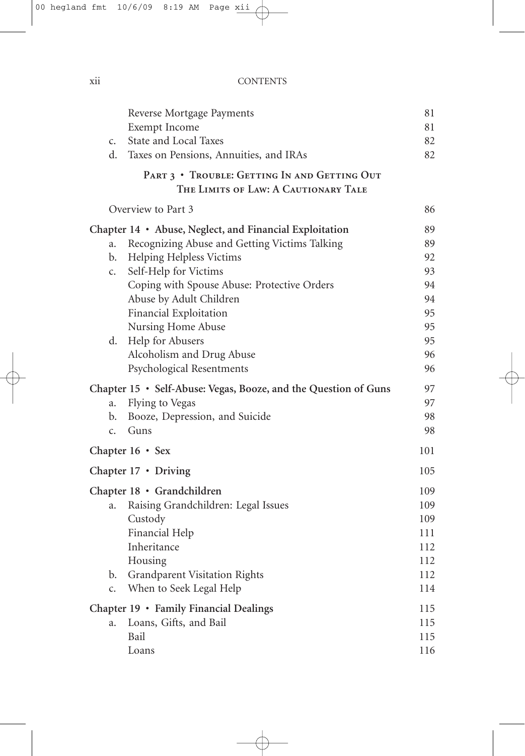xii CONTENTS

| c.<br>d.                                                        | Reverse Mortgage Payments<br>Exempt Income<br><b>State and Local Taxes</b><br>Taxes on Pensions, Annuities, and IRAs | 81<br>81<br>82<br>82 |
|-----------------------------------------------------------------|----------------------------------------------------------------------------------------------------------------------|----------------------|
|                                                                 | PART 3 . TROUBLE: GETTING IN AND GETTING OUT<br>THE LIMITS OF LAW: A CAUTIONARY TALE                                 |                      |
|                                                                 | Overview to Part 3                                                                                                   | 86                   |
|                                                                 | Chapter 14 · Abuse, Neglect, and Financial Exploitation                                                              | 89                   |
| a.                                                              | Recognizing Abuse and Getting Victims Talking                                                                        | 89                   |
| b.                                                              | Helping Helpless Victims                                                                                             | 92                   |
| c.                                                              | Self-Help for Victims                                                                                                | 93                   |
|                                                                 | Coping with Spouse Abuse: Protective Orders                                                                          | 94                   |
|                                                                 | Abuse by Adult Children                                                                                              | 94                   |
|                                                                 | Financial Exploitation                                                                                               | 95                   |
|                                                                 | Nursing Home Abuse                                                                                                   | 95                   |
| d.                                                              | Help for Abusers                                                                                                     | 95                   |
|                                                                 | Alcoholism and Drug Abuse                                                                                            | 96<br>96             |
|                                                                 | Psychological Resentments                                                                                            |                      |
| Chapter 15 • Self-Abuse: Vegas, Booze, and the Question of Guns |                                                                                                                      | 97                   |
| a.                                                              | Flying to Vegas                                                                                                      | 97                   |
| b.                                                              | Booze, Depression, and Suicide                                                                                       | 98                   |
| C.                                                              | Guns                                                                                                                 | 98                   |
|                                                                 | Chapter 16 · Sex                                                                                                     | 101                  |
|                                                                 | Chapter $17 \cdot$ Driving                                                                                           | 105                  |
|                                                                 | Chapter 18 · Grandchildren                                                                                           | 109                  |
| a.                                                              | Raising Grandchildren: Legal Issues                                                                                  | 109                  |
|                                                                 | Custody                                                                                                              | 109                  |
|                                                                 | Financial Help                                                                                                       | 111                  |
|                                                                 | Inheritance                                                                                                          | 112                  |
|                                                                 | Housing                                                                                                              | 112                  |
|                                                                 | b. Grandparent Visitation Rights                                                                                     | 112                  |
| c.                                                              | When to Seek Legal Help                                                                                              | 114                  |
|                                                                 | Chapter 19 • Family Financial Dealings                                                                               | 115                  |
| a.                                                              | Loans, Gifts, and Bail                                                                                               | 115                  |
|                                                                 | Bail                                                                                                                 | 115                  |
|                                                                 | Loans                                                                                                                | 116                  |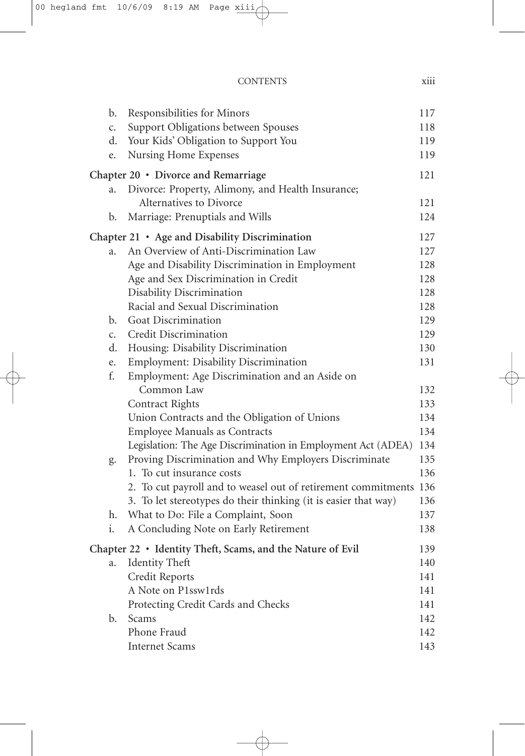| <b>CONTENTS</b> |  |
|-----------------|--|
|                 |  |

n,

| b. | Responsibilities for Minors                                       | 117 |
|----|-------------------------------------------------------------------|-----|
| c. | Support Obligations between Spouses                               | 118 |
| d. | Your Kids' Obligation to Support You                              | 119 |
| e. | Nursing Home Expenses                                             | 119 |
|    | Chapter 20 • Divorce and Remarriage                               | 121 |
| a. | Divorce: Property, Alimony, and Health Insurance;                 |     |
|    | Alternatives to Divorce                                           | 121 |
| b. | Marriage: Prenuptials and Wills                                   | 124 |
|    | Chapter 21 • Age and Disability Discrimination                    | 127 |
| a. | An Overview of Anti-Discrimination Law                            | 127 |
|    | Age and Disability Discrimination in Employment                   | 128 |
|    | Age and Sex Discrimination in Credit                              | 128 |
|    | Disability Discrimination                                         | 128 |
|    | Racial and Sexual Discrimination                                  | 128 |
| b. | Goat Discrimination                                               | 129 |
| c. | Credit Discrimination                                             | 129 |
| d. | Housing: Disability Discrimination                                | 130 |
| e. | Employment: Disability Discrimination                             | 131 |
| f. | Employment: Age Discrimination and an Aside on                    |     |
|    | Common Law                                                        | 132 |
|    | Contract Rights                                                   | 133 |
|    | Union Contracts and the Obligation of Unions                      | 134 |
|    | <b>Employee Manuals as Contracts</b>                              | 134 |
|    | Legislation: The Age Discrimination in Employment Act (ADEA)      | 134 |
| g. | Proving Discrimination and Why Employers Discriminate             | 135 |
|    | 1. To cut insurance costs                                         | 136 |
|    | 2. To cut payroll and to weasel out of retirement commitments 136 |     |
|    | 3. To let stereotypes do their thinking (it is easier that way)   | 136 |
| h. | What to Do: File a Complaint, Soon                                | 137 |
| i. | A Concluding Note on Early Retirement                             | 138 |
|    | Chapter 22 · Identity Theft, Scams, and the Nature of Evil        | 139 |
| a. | <b>Identity Theft</b>                                             | 140 |
|    | Credit Reports                                                    | 141 |
|    | A Note on P1ssw1rds                                               | 141 |
|    | Protecting Credit Cards and Checks                                | 141 |
| b. | Scams                                                             | 142 |
|    | Phone Fraud                                                       | 142 |
|    | <b>Internet Scams</b>                                             | 143 |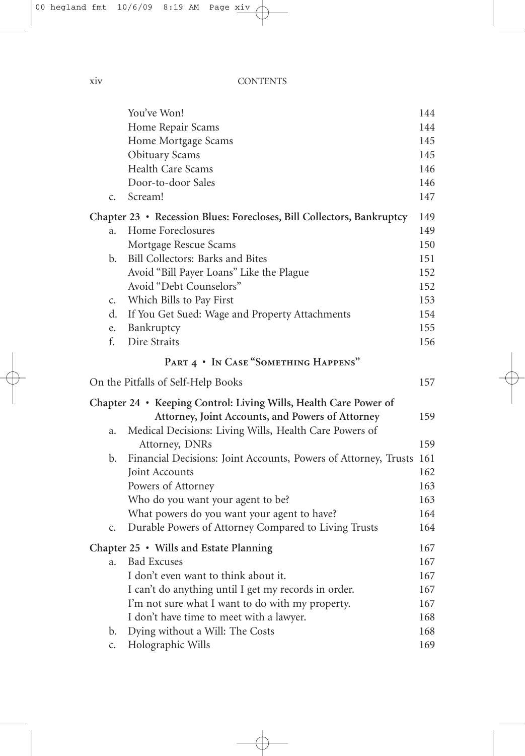xiv CONTENTS

and the

|                | You've Won!                                                           | 144 |
|----------------|-----------------------------------------------------------------------|-----|
|                | Home Repair Scams                                                     | 144 |
|                | Home Mortgage Scams                                                   | 145 |
|                | Obituary Scams                                                        | 145 |
|                | <b>Health Care Scams</b>                                              | 146 |
|                | Door-to-door Sales                                                    | 146 |
| $\mathsf{C}$ . | Scream!                                                               | 147 |
|                | Chapter 23 · Recession Blues: Forecloses, Bill Collectors, Bankruptcy | 149 |
| a.             | Home Foreclosures                                                     | 149 |
|                | Mortgage Rescue Scams                                                 | 150 |
| b.             | Bill Collectors: Barks and Bites                                      | 151 |
|                | Avoid "Bill Payer Loans" Like the Plague                              | 152 |
|                | Avoid "Debt Counselors"                                               | 152 |
| c.             | Which Bills to Pay First                                              | 153 |
| d.             | If You Get Sued: Wage and Property Attachments                        | 154 |
| e.             | Bankruptcy                                                            | 155 |
| f.             | Dire Straits                                                          | 156 |
|                | PART 4 . IN CASE "SOMETHING HAPPENS"                                  |     |
|                | On the Pitfalls of Self-Help Books                                    | 157 |
|                | Chapter 24 · Keeping Control: Living Wills, Health Care Power of      |     |
|                | Attorney, Joint Accounts, and Powers of Attorney                      | 159 |
| a.             | Medical Decisions: Living Wills, Health Care Powers of                |     |
|                | Attorney, DNRs                                                        | 159 |
| b.             | Financial Decisions: Joint Accounts, Powers of Attorney, Trusts       | 161 |
|                | Joint Accounts                                                        | 162 |
|                | Powers of Attorney                                                    | 163 |
|                | Who do you want your agent to be?                                     | 163 |
|                | What powers do you want your agent to have?                           | 164 |
| c.             | Durable Powers of Attorney Compared to Living Trusts                  | 164 |
|                | Chapter 25 • Wills and Estate Planning                                | 167 |
| a.             | <b>Bad Excuses</b>                                                    | 167 |
|                | I don't even want to think about it.                                  | 167 |
|                | I can't do anything until I get my records in order.                  | 167 |
|                | I'm not sure what I want to do with my property.                      | 167 |
|                | I don't have time to meet with a lawyer.                              | 168 |
| b.             | Dying without a Will: The Costs                                       | 168 |
| c.             | Holographic Wills                                                     | 169 |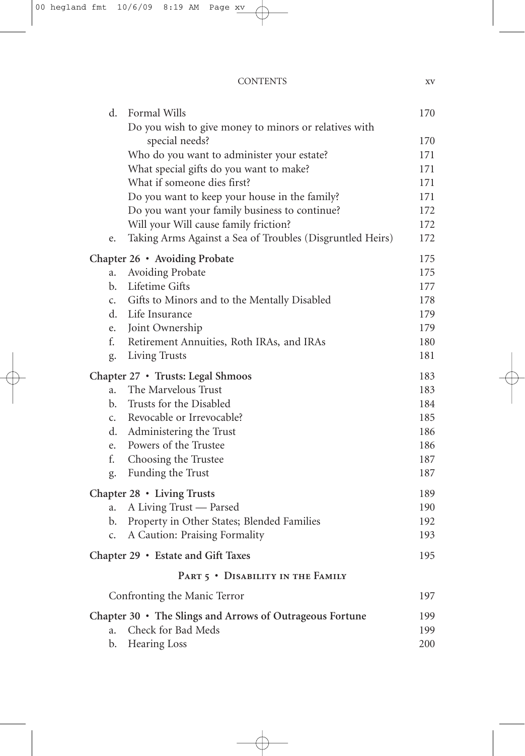### CONTENTS xv

in the

| d.             | Formal Wills                                              | 170 |
|----------------|-----------------------------------------------------------|-----|
|                | Do you wish to give money to minors or relatives with     |     |
|                | special needs?                                            | 170 |
|                | Who do you want to administer your estate?                | 171 |
|                | What special gifts do you want to make?                   | 171 |
|                | What if someone dies first?                               | 171 |
|                | Do you want to keep your house in the family?             | 171 |
|                | Do you want your family business to continue?             | 172 |
|                | Will your Will cause family friction?                     | 172 |
| e.             | Taking Arms Against a Sea of Troubles (Disgruntled Heirs) | 172 |
|                | Chapter 26 • Avoiding Probate                             | 175 |
| a.             | Avoiding Probate                                          | 175 |
| b.             | Lifetime Gifts                                            | 177 |
| $\mathsf{C}$ . | Gifts to Minors and to the Mentally Disabled              | 178 |
| d.             | Life Insurance                                            | 179 |
| e.             | Joint Ownership                                           | 179 |
| f.             | Retirement Annuities, Roth IRAs, and IRAs                 | 180 |
| g.             | Living Trusts                                             | 181 |
|                | Chapter 27 • Trusts: Legal Shmoos                         | 183 |
| a.             | The Marvelous Trust                                       | 183 |
| b.             | Trusts for the Disabled                                   | 184 |
| $\mathsf{C}$ . | Revocable or Irrevocable?                                 | 185 |
| d.             | Administering the Trust                                   | 186 |
| e.             | Powers of the Trustee                                     | 186 |
| f.             | Choosing the Trustee                                      | 187 |
| g.             | Funding the Trust                                         | 187 |
|                | Chapter 28 • Living Trusts                                | 189 |
| a.             | A Living Trust - Parsed                                   | 190 |
| b.             | Property in Other States; Blended Families                | 192 |
| C.             | A Caution: Praising Formality                             | 193 |
|                | Chapter 29 • Estate and Gift Taxes                        | 195 |
|                | PART 5 . DISABILITY IN THE FAMILY                         |     |
|                | Confronting the Manic Terror                              | 197 |
|                |                                                           |     |
|                | Chapter 30 • The Slings and Arrows of Outrageous Fortune  | 199 |
| a.             | Check for Bad Meds                                        | 199 |
| b.             | <b>Hearing Loss</b>                                       | 200 |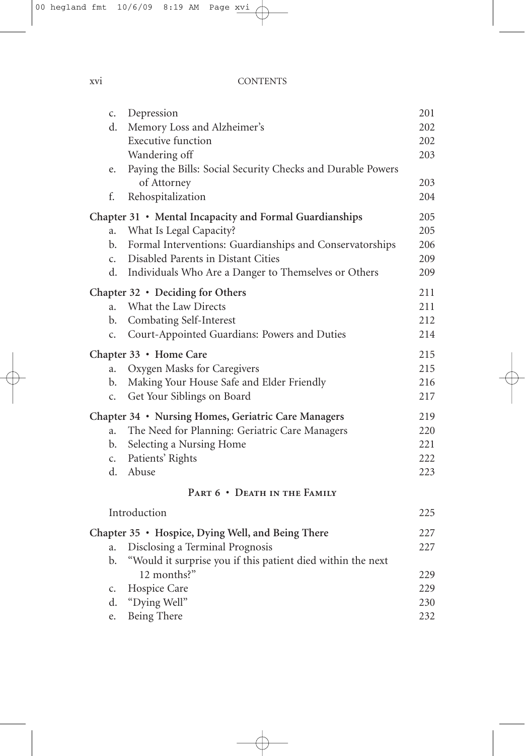xvi CONTENTS

| c.            | Depression                                                  | 201        |
|---------------|-------------------------------------------------------------|------------|
| d.            | Memory Loss and Alzheimer's<br><b>Executive function</b>    | 202<br>202 |
|               | Wandering off                                               | 203        |
| e.            | Paying the Bills: Social Security Checks and Durable Powers |            |
|               | of Attorney                                                 | 203        |
| f.            | Rehospitalization                                           | 204        |
|               | Chapter 31 • Mental Incapacity and Formal Guardianships     | 205        |
| a.            | What Is Legal Capacity?                                     | 205        |
| b.            | Formal Interventions: Guardianships and Conservatorships    | 206        |
| $C_{\bullet}$ | Disabled Parents in Distant Cities                          | 209        |
| d.            | Individuals Who Are a Danger to Themselves or Others        | 209        |
|               | Chapter 32 • Deciding for Others                            | 211        |
| a.            | What the Law Directs                                        | 211        |
| b.            | Combating Self-Interest                                     | 212        |
| c.            | Court-Appointed Guardians: Powers and Duties                | 214        |
|               | Chapter 33 • Home Care                                      | 215        |
| a.            | Oxygen Masks for Caregivers                                 | 215        |
| b.            | Making Your House Safe and Elder Friendly                   | 216        |
| $C_{\bullet}$ | Get Your Siblings on Board                                  | 217        |
|               | Chapter 34 · Nursing Homes, Geriatric Care Managers         | 219        |
| a.            | The Need for Planning: Geriatric Care Managers              | 220        |
| b.            | Selecting a Nursing Home                                    | 221        |
| $C_{\bullet}$ | Patients' Rights                                            | 222        |
| d.            | Abuse                                                       | 223        |
|               | PART 6 . DEATH IN THE FAMILY                                |            |
|               | Introduction                                                | 225        |
|               | Chapter 35 · Hospice, Dying Well, and Being There           | 227        |
| a.            | Disclosing a Terminal Prognosis                             | 227        |
| b.            | "Would it surprise you if this patient died within the next |            |
|               | 12 months?"                                                 | 229        |
| c.            | Hospice Care                                                | 229        |
| d.            | "Dying Well"                                                | 230        |
| e.            | Being There                                                 | 232        |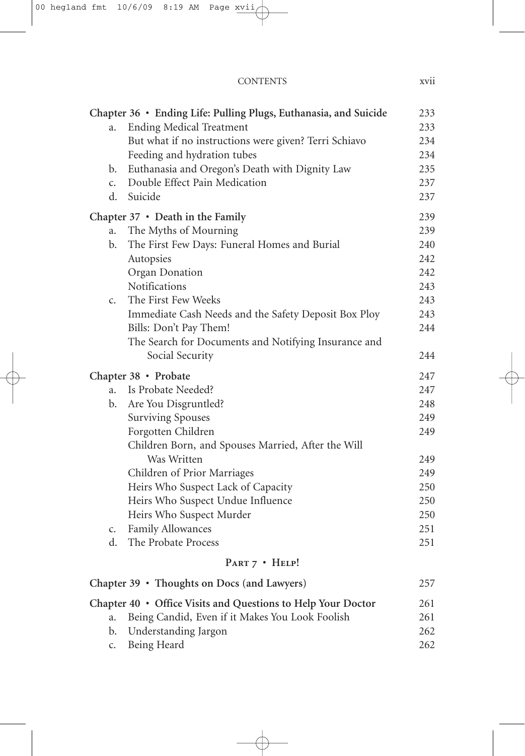| <b>CONTENTS</b> | XV11 |
|-----------------|------|

n,

| a. | Chapter 36 · Ending Life: Pulling Plugs, Euthanasia, and Suicide<br><b>Ending Medical Treatment</b> | 233<br>233<br>234 |
|----|-----------------------------------------------------------------------------------------------------|-------------------|
|    | But what if no instructions were given? Terri Schiavo<br>Feeding and hydration tubes                | 234               |
| b. | Euthanasia and Oregon's Death with Dignity Law                                                      | 235               |
| c. | Double Effect Pain Medication                                                                       | 237               |
| d. | Suicide                                                                                             | 237               |
|    | Chapter 37 • Death in the Family                                                                    | 239               |
| a. | The Myths of Mourning                                                                               | 239               |
| b. | The First Few Days: Funeral Homes and Burial                                                        | 240               |
|    | Autopsies                                                                                           | 242               |
|    | Organ Donation                                                                                      | 242               |
|    | Notifications                                                                                       | 243               |
| c. | The First Few Weeks                                                                                 | 243               |
|    | Immediate Cash Needs and the Safety Deposit Box Ploy                                                | 243               |
|    | Bills: Don't Pay Them!                                                                              | 244               |
|    | The Search for Documents and Notifying Insurance and                                                |                   |
|    | Social Security                                                                                     | 244               |
|    | Chapter 38 · Probate                                                                                |                   |
| a. | Is Probate Needed?                                                                                  | 247               |
| b. | Are You Disgruntled?                                                                                | 248               |
|    | <b>Surviving Spouses</b>                                                                            | 249               |
|    | Forgotten Children                                                                                  | 249               |
|    | Children Born, and Spouses Married, After the Will                                                  |                   |
|    | Was Written                                                                                         | 249               |
|    | Children of Prior Marriages                                                                         | 249               |
|    | Heirs Who Suspect Lack of Capacity                                                                  | 250               |
|    | Heirs Who Suspect Undue Influence                                                                   | 250               |
|    | Heirs Who Suspect Murder                                                                            | 250               |
| c. | Family Allowances                                                                                   | 251               |
| d. | The Probate Process                                                                                 | 251               |
|    | PART 7 . HELP!                                                                                      |                   |
|    | Chapter 39 • Thoughts on Docs (and Lawyers)                                                         | 257               |
|    | Chapter 40 • Office Visits and Questions to Help Your Doctor                                        |                   |
| a. | Being Candid, Even if it Makes You Look Foolish                                                     | 261               |
| b. | Understanding Jargon                                                                                | 262               |
| c. | Being Heard                                                                                         | 262               |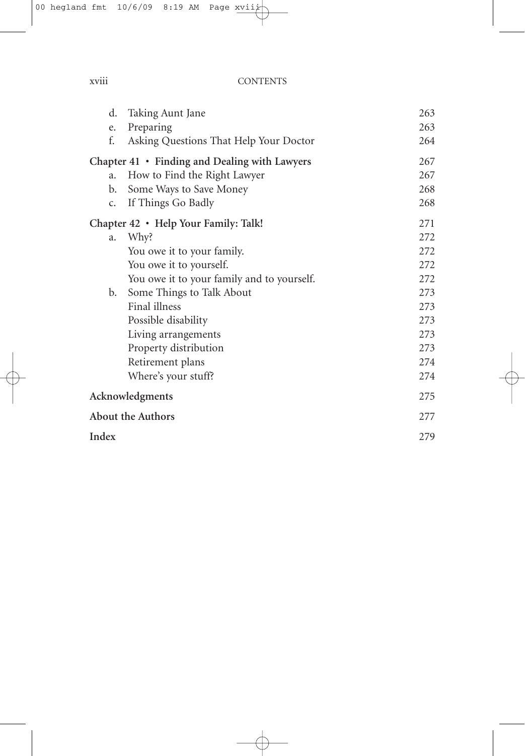xviii CONTENTS

- 72

| d.                                                  | Taking Aunt Jane                           | 263 |
|-----------------------------------------------------|--------------------------------------------|-----|
| e.                                                  | Preparing                                  | 263 |
| f.                                                  | Asking Questions That Help Your Doctor     | 264 |
| Chapter $41 \cdot$ Finding and Dealing with Lawyers |                                            | 267 |
| a.                                                  | How to Find the Right Lawyer               | 267 |
| b.                                                  | Some Ways to Save Money                    | 268 |
| $C_{\bullet}$                                       | If Things Go Badly                         | 268 |
| Chapter 42 • Help Your Family: Talk!                |                                            | 271 |
|                                                     | a. Why?                                    | 272 |
|                                                     | You owe it to your family.                 | 272 |
|                                                     | You owe it to yourself.                    | 272 |
|                                                     | You owe it to your family and to yourself. | 272 |
| b.                                                  | Some Things to Talk About                  | 273 |
|                                                     | Final illness                              | 273 |
|                                                     | Possible disability                        | 273 |
|                                                     | Living arrangements                        | 273 |
|                                                     | Property distribution                      | 273 |
|                                                     | Retirement plans                           | 274 |
|                                                     | Where's your stuff?                        | 274 |
| Acknowledgments                                     |                                            | 275 |
| <b>About the Authors</b>                            |                                            | 277 |
| Index                                               |                                            | 279 |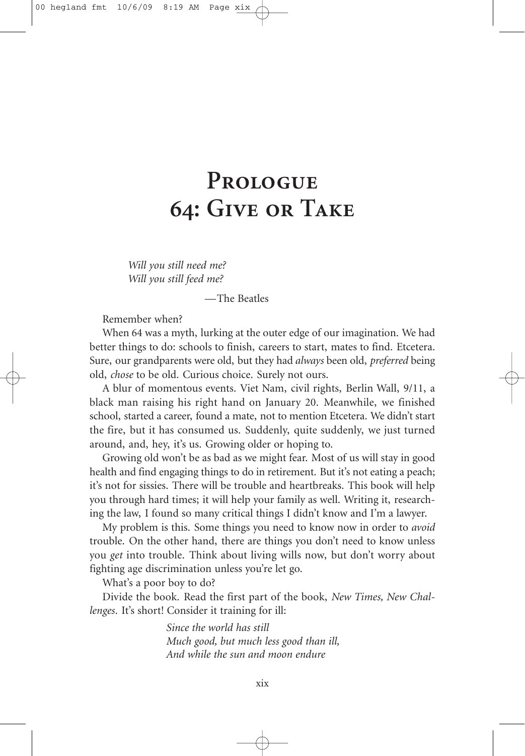# **Prologue 64: Give or Take**

*Will you still need me? Will you still feed me?*

—The Beatles

Remember when?

When 64 was a myth, lurking at the outer edge of our imagination. We had better things to do: schools to finish, careers to start, mates to find. Etcetera. Sure, our grandparents were old, but they had *always* been old, *preferred* being old, *chose* to be old. Curious choice. Surely not ours.

A blur of momentous events. Viet Nam, civil rights, Berlin Wall, 9/11, a black man raising his right hand on January 20. Meanwhile, we finished school, started a career, found a mate, not to mention Etcetera. We didn't start the fire, but it has consumed us. Suddenly, quite suddenly, we just turned around, and, hey, it's us. Growing older or hoping to.

Growing old won't be as bad as we might fear. Most of us will stay in good health and find engaging things to do in retirement. But it's not eating a peach; it's not for sissies. There will be trouble and heartbreaks. This book will help you through hard times; it will help your family as well. Writing it, researching the law, I found so many critical things I didn't know and I'm a lawyer.

My problem is this. Some things you need to know now in order to *avoid* trouble. On the other hand, there are things you don't need to know unless you *get* into trouble. Think about living wills now, but don't worry about fighting age discrimination unless you're let go.

What's a poor boy to do?

Divide the book. Read the first part of the book, *New Times, New Challenges*. It's short! Consider it training for ill:

> *Since the world has still Much good, but much less good than ill, And while the sun and moon endure*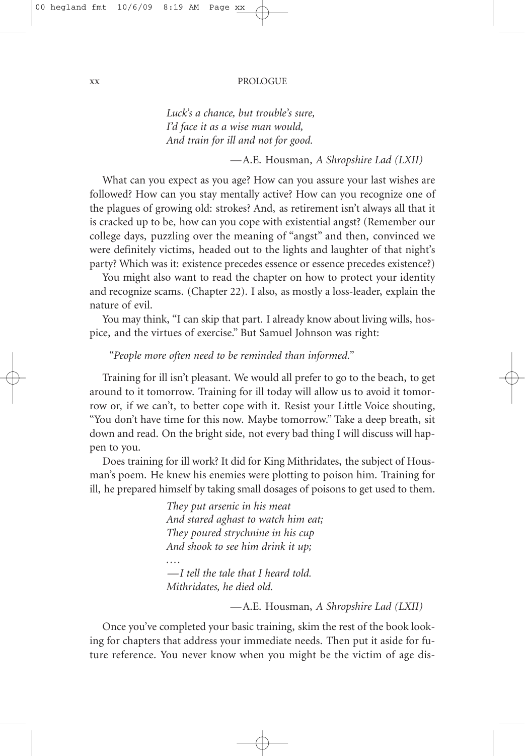#### xx PROLOGUE

*Luck's a chance, but trouble's sure, I'd face it as a wise man would, And train for ill and not for good.*

—A.E. Housman, *A Shropshire Lad (LXII)*

What can you expect as you age? How can you assure your last wishes are followed? How can you stay mentally active? How can you recognize one of the plagues of growing old: strokes? And, as retirement isn't always all that it is cracked up to be, how can you cope with existential angst? (Remember our college days, puzzling over the meaning of "angst" and then, convinced we were definitely victims, headed out to the lights and laughter of that night's party? Which was it: existence precedes essence or essence precedes existence?)

You might also want to read the chapter on how to protect your identity and recognize scams. (Chapter 22). I also, as mostly a loss-leader, explain the nature of evil.

You may think, "I can skip that part. I already know about living wills, hospice, and the virtues of exercise." But Samuel Johnson was right:

#### *"People more often need to be reminded than informed."*

Training for ill isn't pleasant. We would all prefer to go to the beach, to get around to it tomorrow. Training for ill today will allow us to avoid it tomorrow or, if we can't, to better cope with it. Resist your Little Voice shouting, "You don't have time for this now. Maybe tomorrow." Take a deep breath, sit down and read. On the bright side, not every bad thing I will discuss will happen to you.

Does training for ill work? It did for King Mithridates, the subject of Housman's poem. He knew his enemies were plotting to poison him. Training for ill, he prepared himself by taking small dosages of poisons to get used to them.

> *They put arsenic in his meat And stared aghast to watch him eat; They poured strychnine in his cup And shook to see him drink it up; .... —I tell the tale that I heard told. Mithridates, he died old.*

> > —A.E. Housman, *A Shropshire Lad (LXII)*

Once you've completed your basic training, skim the rest of the book looking for chapters that address your immediate needs. Then put it aside for future reference. You never know when you might be the victim of age dis-